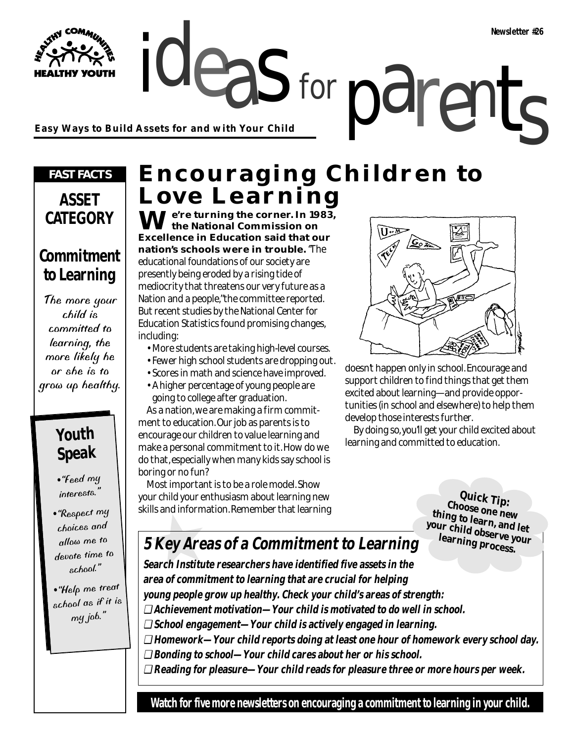ideas for parents **Easy Ways to Build Assets for and with Your Child**

#### *FAST FACTS*

**YOUTH** 

### **ASSET CATEGORY**

### **Commitment to Learning**

The more your child is committed to learning, the more likely he or she is to grow up healthy.

## **Youth Speak**

- •"Feed my interests."
- •"Respect my choices and allow me to devote time to school."
- •"Help me trea<sup>t</sup> school as if it is my job."

# **Encouraging Children to Love Learning**

for

**We're turning the corner. In 1983, the National Commission on Excellence in Education said that our nation's schools were in trouble.** "The educational foundations of our society are presently being eroded by a rising tide of mediocrity that threatens our very future as a Nation and a people," the committee reported. But recent studies by the National Center for Education Statistics found promising changes, including:

- More students are taking high-level courses.
- Fewer high school students are dropping out.
- Scores in math and science have improved.
- A higher percentage of young people are going to college after graduation.

As a nation, we are making a firm commitment to education. Our job as parents is to encourage our children to value learning and make a personal commitment to it. How do we do that, especially when many kids say school is boring or no fun?

Most important is to be a role model. Show your child your enthusiasm about learning new skills and information. Remember that learning



doesn't happen only in school. Encourage and support children to find things that get them excited about learning—and provide opportunities (in school and elsewhere) to help them develop those interests further.

By doing so, you'll get your child excited about learning and committed to education.

> **Quick Tip: Choose one new thing to learn, and let your child observe your learning process.**

## **5 Key Areas of a Commitment to Learning**

**Search Institute researchers have identified five assets in the area of commitment to learning that are crucial for helping young people grow up healthy. Check your child's areas of strength:** ❑ **Achievement motivation—Your child is motivated to do well in school.** ❑ **School engagement—Your child is actively engaged in learning.** ❑ **Homework—Your child reports doing at least one hour of homework every school day.** ❑ **Bonding to school—Your child cares about her or his school.** ❑ **Reading for pleasure—Your child reads for pleasure three or more hours per week.**

**Watch for five more newsletters on encouraging a commitment to learning in your child.**